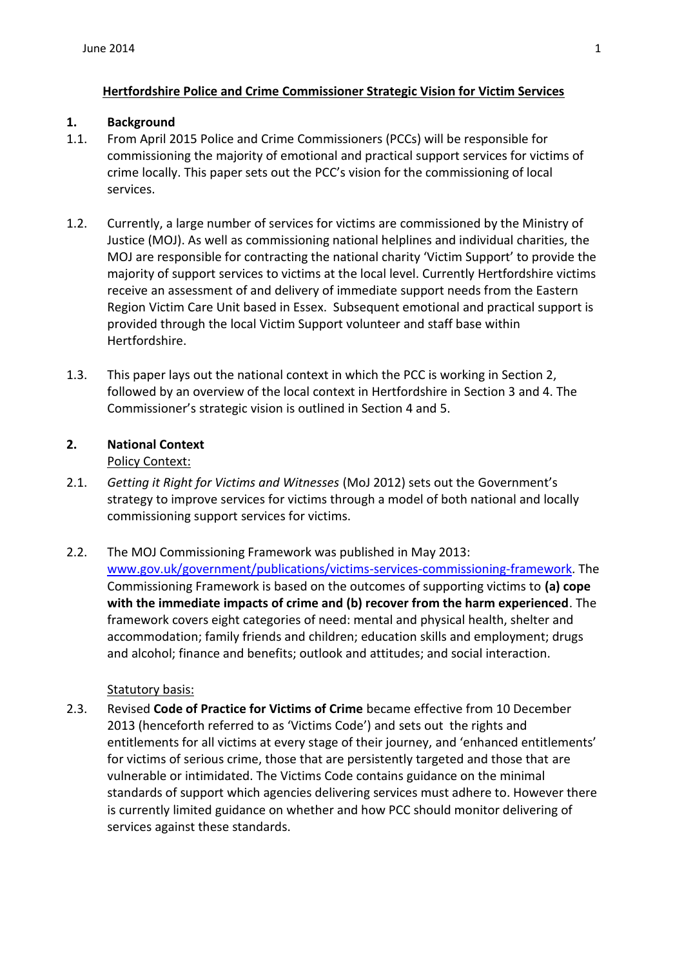### **Hertfordshire Police and Crime Commissioner Strategic Vision for Victim Services**

#### **1. Background**

- 1.1. From April 2015 Police and Crime Commissioners (PCCs) will be responsible for commissioning the majority of emotional and practical support services for victims of crime locally. This paper sets out the PCC's vision for the commissioning of local services.
- 1.2. Currently, a large number of services for victims are commissioned by the Ministry of Justice (MOJ). As well as commissioning national helplines and individual charities, the MOJ are responsible for contracting the national charity 'Victim Support' to provide the majority of support services to victims at the local level. Currently Hertfordshire victims receive an assessment of and delivery of immediate support needs from the Eastern Region Victim Care Unit based in Essex. Subsequent emotional and practical support is provided through the local Victim Support volunteer and staff base within Hertfordshire.
- 1.3. This paper lays out the national context in which the PCC is working in Section 2, followed by an overview of the local context in Hertfordshire in Section 3 and 4. The Commissioner's strategic vision is outlined in Section 4 and 5.

### **2. National Context**

#### Policy Context:

- 2.1. *Getting it Right for Victims and Witnesses* (MoJ 2012) sets out the Government's strategy to improve services for victims through a model of both national and locally commissioning support services for victims.
- <span id="page-0-0"></span>2.2. The MOJ Commissioning Framework was published in May 2013: [www.gov.uk/government/publications/victims-services-commissioning-framework.](http://www.gov.uk/government/publications/victims-services-commissioning-framework) The Commissioning Framework is based on the outcomes of supporting victims to **(a) cope with the immediate impacts of crime and (b) recover from the harm experienced**. The framework covers eight categories of need: mental and physical health, shelter and accommodation; family friends and children; education skills and employment; drugs and alcohol; finance and benefits; outlook and attitudes; and social interaction.

### Statutory basis:

2.3. Revised **Code of Practice for Victims of Crime** became effective from 10 December 2013 (henceforth referred to as 'Victims Code') and sets out the rights and entitlements for all victims at every stage of their journey, and 'enhanced entitlements' for victims of serious crime, those that are persistently targeted and those that are vulnerable or intimidated. The Victims Code contains guidance on the minimal standards of support which agencies delivering services must adhere to. However there is currently limited guidance on whether and how PCC should monitor delivering of services against these standards.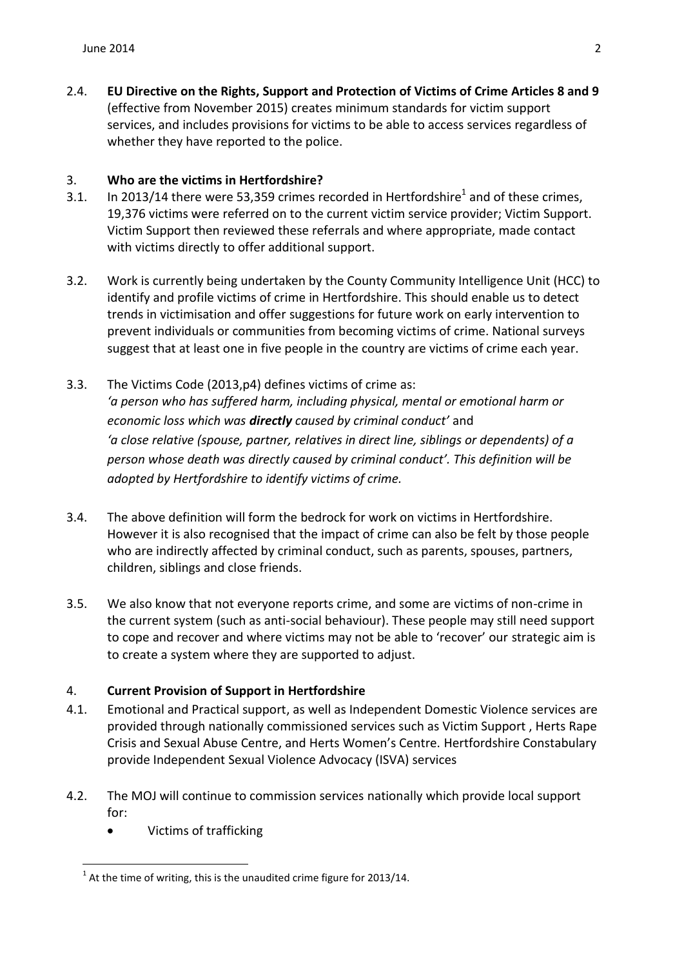2.4. **EU Directive on the Rights, Support and Protection of Victims of Crime Articles 8 and 9** (effective from November 2015) creates minimum standards for victim support services, and includes provisions for victims to be able to access services regardless of whether they have reported to the police.

# 3. **Who are the victims in Hertfordshire?**

- 3.1. In 2013/14 there were 53,359 crimes recorded in Hertfordshire<sup>1</sup> and of these crimes, 19,376 victims were referred on to the current victim service provider; Victim Support. Victim Support then reviewed these referrals and where appropriate, made contact with victims directly to offer additional support.
- 3.2. Work is currently being undertaken by the County Community Intelligence Unit (HCC) to identify and profile victims of crime in Hertfordshire. This should enable us to detect trends in victimisation and offer suggestions for future work on early intervention to prevent individuals or communities from becoming victims of crime. National surveys suggest that at least one in five people in the country are victims of crime each year.
- 3.3. The Victims Code (2013,p4) defines victims of crime as: *'a person who has suffered harm, including physical, mental or emotional harm or economic loss which was directly caused by criminal conduct'* and *'a close relative (spouse, partner, relatives in direct line, siblings or dependents) of a person whose death was directly caused by criminal conduct'. This definition will be adopted by Hertfordshire to identify victims of crime.*
- 3.4. The above definition will form the bedrock for work on victims in Hertfordshire. However it is also recognised that the impact of crime can also be felt by those people who are indirectly affected by criminal conduct, such as parents, spouses, partners, children, siblings and close friends.
- 3.5. We also know that not everyone reports crime, and some are victims of non-crime in the current system (such as anti-social behaviour). These people may still need support to cope and recover and where victims may not be able to 'recover' our strategic aim is to create a system where they are supported to adjust.

# 4. **Current Provision of Support in Hertfordshire**

- 4.1. Emotional and Practical support, as well as Independent Domestic Violence services are provided through nationally commissioned services such as Victim Support , Herts Rape Crisis and Sexual Abuse Centre, and Herts Women's Centre. Hertfordshire Constabulary provide Independent Sexual Violence Advocacy (ISVA) services
- 4.2. The MOJ will continue to commission services nationally which provide local support for:
	- Victims of trafficking

**<sup>.</sup>**  $1$  At the time of writing, this is the unaudited crime figure for 2013/14.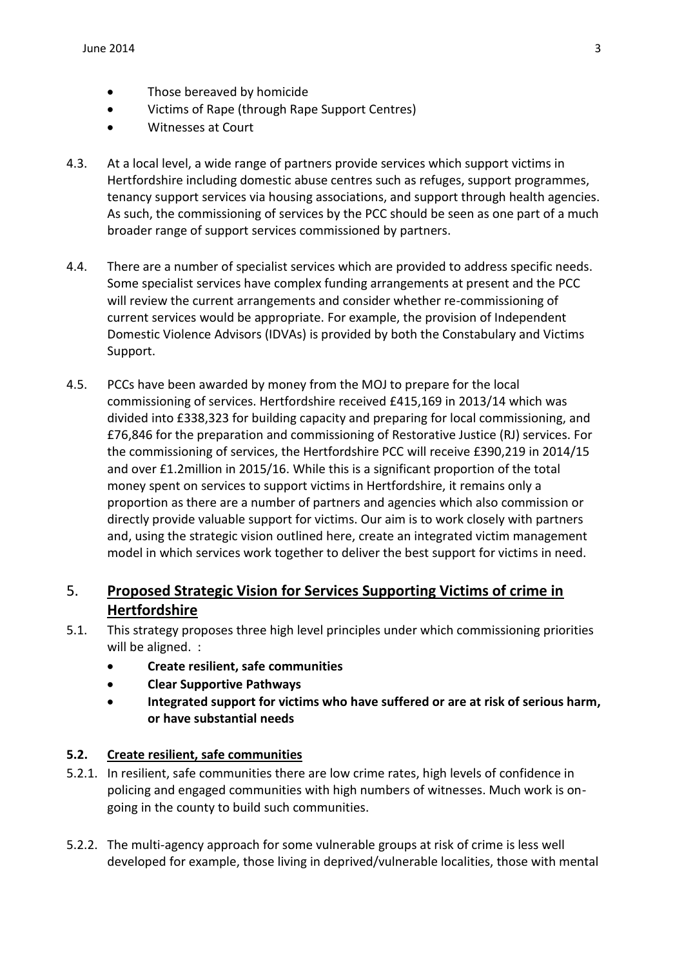- Those bereaved by homicide
- Victims of Rape (through Rape Support Centres)
- Witnesses at Court
- 4.3. At a local level, a wide range of partners provide services which support victims in Hertfordshire including domestic abuse centres such as refuges, support programmes, tenancy support services via housing associations, and support through health agencies. As such, the commissioning of services by the PCC should be seen as one part of a much broader range of support services commissioned by partners.
- 4.4. There are a number of specialist services which are provided to address specific needs. Some specialist services have complex funding arrangements at present and the PCC will review the current arrangements and consider whether re-commissioning of current services would be appropriate. For example, the provision of Independent Domestic Violence Advisors (IDVAs) is provided by both the Constabulary and Victims Support.
- 4.5. PCCs have been awarded by money from the MOJ to prepare for the local commissioning of services. Hertfordshire received £415,169 in 2013/14 which was divided into £338,323 for building capacity and preparing for local commissioning, and £76,846 for the preparation and commissioning of Restorative Justice (RJ) services. For the commissioning of services, the Hertfordshire PCC will receive £390,219 in 2014/15 and over £1.2million in 2015/16. While this is a significant proportion of the total money spent on services to support victims in Hertfordshire, it remains only a proportion as there are a number of partners and agencies which also commission or directly provide valuable support for victims. Our aim is to work closely with partners and, using the strategic vision outlined here, create an integrated victim management model in which services work together to deliver the best support for victims in need.

# 5. **Proposed Strategic Vision for Services Supporting Victims of crime in Hertfordshire**

- 5.1. This strategy proposes three high level principles under which commissioning priorities will be aligned. :
	- **Create resilient, safe communities**
	- **Clear Supportive Pathways**
	- **Integrated support for victims who have suffered or are at risk of serious harm, or have substantial needs**

#### **5.2. Create resilient, safe communities**

- 5.2.1. In resilient, safe communities there are low crime rates, high levels of confidence in policing and engaged communities with high numbers of witnesses. Much work is ongoing in the county to build such communities.
- 5.2.2. The multi-agency approach for some vulnerable groups at risk of crime is less well developed for example, those living in deprived/vulnerable localities, those with mental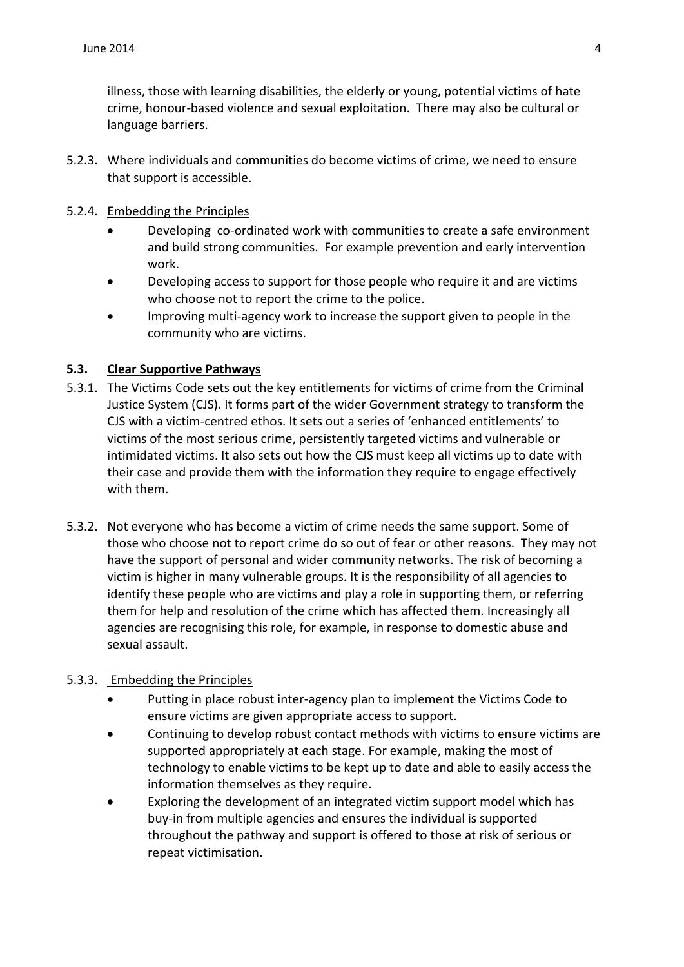illness, those with learning disabilities, the elderly or young, potential victims of hate crime, honour-based violence and sexual exploitation. There may also be cultural or language barriers.

5.2.3. Where individuals and communities do become victims of crime, we need to ensure that support is accessible.

### 5.2.4. Embedding the Principles

- Developing co-ordinated work with communities to create a safe environment and build strong communities. For example prevention and early intervention work.
- Developing access to support for those people who require it and are victims who choose not to report the crime to the police.
- Improving multi-agency work to increase the support given to people in the community who are victims.

# **5.3. Clear Supportive Pathways**

- 5.3.1. The Victims Code sets out the key entitlements for victims of crime from the Criminal Justice System (CJS). It forms part of the wider Government strategy to transform the CJS with a victim-centred ethos. It sets out a series of 'enhanced entitlements' to victims of the most serious crime, persistently targeted victims and vulnerable or intimidated victims. It also sets out how the CJS must keep all victims up to date with their case and provide them with the information they require to engage effectively with them.
- 5.3.2. Not everyone who has become a victim of crime needs the same support. Some of those who choose not to report crime do so out of fear or other reasons. They may not have the support of personal and wider community networks. The risk of becoming a victim is higher in many vulnerable groups. It is the responsibility of all agencies to identify these people who are victims and play a role in supporting them, or referring them for help and resolution of the crime which has affected them. Increasingly all agencies are recognising this role, for example, in response to domestic abuse and sexual assault.

### 5.3.3. Embedding the Principles

- Putting in place robust inter-agency plan to implement the Victims Code to ensure victims are given appropriate access to support.
- Continuing to develop robust contact methods with victims to ensure victims are supported appropriately at each stage. For example, making the most of technology to enable victims to be kept up to date and able to easily access the information themselves as they require.
- Exploring the development of an integrated victim support model which has buy-in from multiple agencies and ensures the individual is supported throughout the pathway and support is offered to those at risk of serious or repeat victimisation.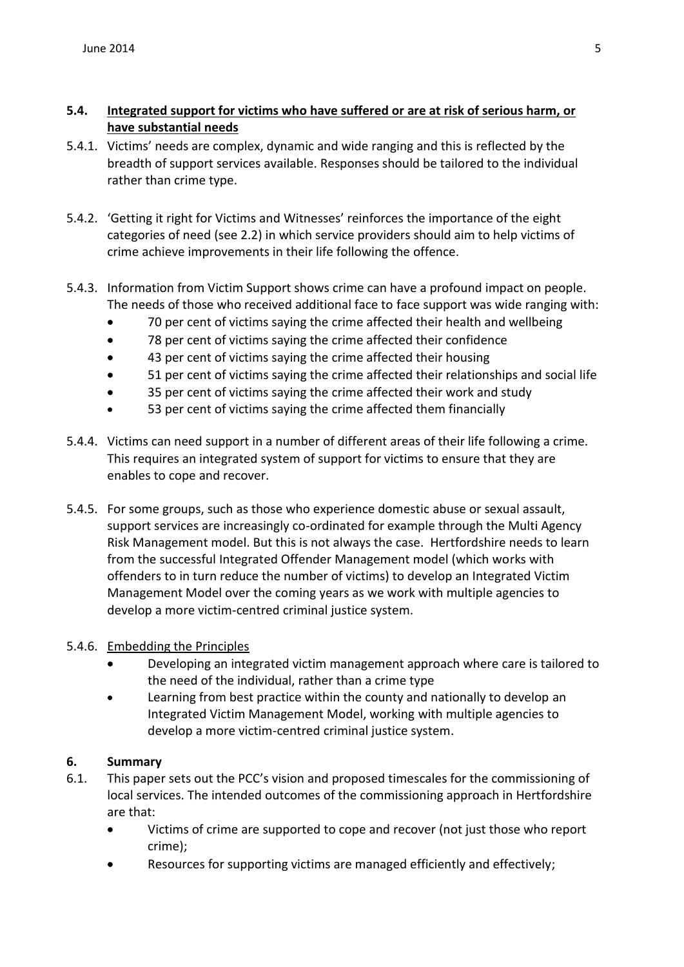# **5.4. Integrated support for victims who have suffered or are at risk of serious harm, or have substantial needs**

- 5.4.1. Victims' needs are complex, dynamic and wide ranging and this is reflected by the breadth of support services available. Responses should be tailored to the individual rather than crime type.
- 5.4.2. 'Getting it right for Victims and Witnesses' reinforces the importance of the eight categories of need (see [2.2\)](#page-0-0) in which service providers should aim to help victims of crime achieve improvements in their life following the offence.
- 5.4.3. Information from Victim Support shows crime can have a profound impact on people. The needs of those who received additional face to face support was wide ranging with:
	- 70 per cent of victims saying the crime affected their health and wellbeing
	- 78 per cent of victims saying the crime affected their confidence
	- 43 per cent of victims saying the crime affected their housing
	- 51 per cent of victims saying the crime affected their relationships and social life
	- 35 per cent of victims saying the crime affected their work and study
	- 53 per cent of victims saying the crime affected them financially
- 5.4.4. Victims can need support in a number of different areas of their life following a crime. This requires an integrated system of support for victims to ensure that they are enables to cope and recover.
- 5.4.5. For some groups, such as those who experience domestic abuse or sexual assault, support services are increasingly co-ordinated for example through the Multi Agency Risk Management model. But this is not always the case. Hertfordshire needs to learn from the successful Integrated Offender Management model (which works with offenders to in turn reduce the number of victims) to develop an Integrated Victim Management Model over the coming years as we work with multiple agencies to develop a more victim-centred criminal justice system.

# 5.4.6. Embedding the Principles

- Developing an integrated victim management approach where care is tailored to the need of the individual, rather than a crime type
- Learning from best practice within the county and nationally to develop an Integrated Victim Management Model, working with multiple agencies to develop a more victim-centred criminal justice system.

# **6. Summary**

- 6.1. This paper sets out the PCC's vision and proposed timescales for the commissioning of local services. The intended outcomes of the commissioning approach in Hertfordshire are that:
	- Victims of crime are supported to cope and recover (not just those who report crime);
	- Resources for supporting victims are managed efficiently and effectively;